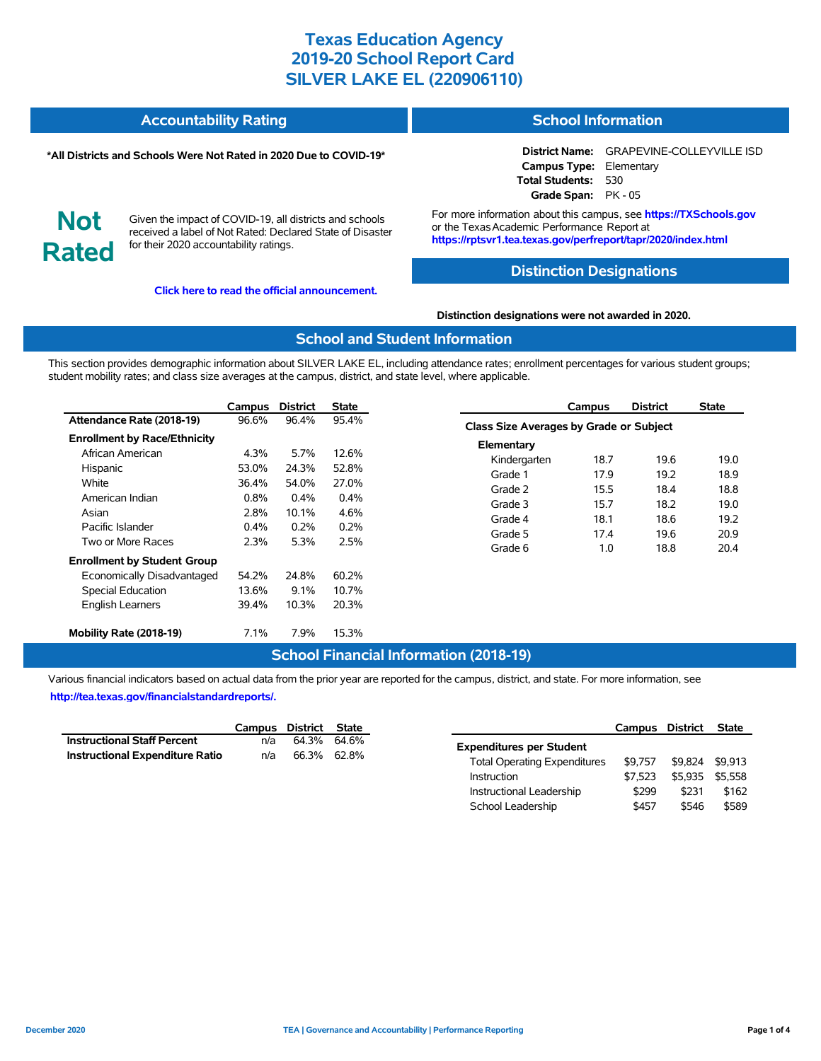| <b>Accountability Rating</b> | <b>School Information</b> |
|------------------------------|---------------------------|
|                              |                           |

#### **\*All Districts and Schools Were Not Rated in 2020 Due to COVID-19\***

for their 2020 accountability ratings.

**Not**

**Rated**

# Given the impact of COVID-19, all districts and schools received a label of Not Rated: Declared State of Disaster

**[Click here to read the official announcement.](https://tea.texas.gov/about-tea/news-and-multimedia/correspondence/taa-letters/every-student-succeeds-act-essa-waiver-approval-2020-state-academic-accountability)**

For more information about this campus, see **https://TXSchools.gov** or the Texas Academic Performance Report at **https://rptsvr1.tea.texas.gov/perfreport/tapr/2020/index.html**

**Campus Type:** Elementary **Total Students:** 530 **Grade Span:** PK - 05

**District Name:** GRAPEVINE-COLLEYVILLE ISD

#### **Distinction Designations**

**Distinction designations were not awarded in 2020.**

#### **School and Student Information**

This section provides demographic information about SILVER LAKE EL, including attendance rates; enrollment percentages for various student groups; student mobility rates; and class size averages at the campus, district, and state level, where applicable.

|                                     | Campus  | <b>District</b> | <b>State</b> |
|-------------------------------------|---------|-----------------|--------------|
| Attendance Rate (2018-19)           | 96.6%   | 96.4%           | 95.4%        |
| <b>Enrollment by Race/Ethnicity</b> |         |                 |              |
| African American                    | 4.3%    | 5.7%            | 12.6%        |
| Hispanic                            | 53.0%   | 24.3%           | 52.8%        |
| White                               | 36.4%   | 54.0%           | 27.0%        |
| American Indian                     | 0.8%    | 0.4%            | 0.4%         |
| Asian                               | 2.8%    | 10.1%           | 4.6%         |
| Pacific Islander                    | $0.4\%$ | 0.2%            | 0.2%         |
| Two or More Races                   | 2.3%    | 5.3%            | 2.5%         |
| <b>Enrollment by Student Group</b>  |         |                 |              |
| Economically Disadvantaged          | 54.2%   | 24.8%           | 60.2%        |
| <b>Special Education</b>            | 13.6%   | $9.1\%$         | 10.7%        |
| <b>English Learners</b>             | 39.4%   | 10.3%           | 20.3%        |
| Mobility Rate (2018-19)             | $7.1\%$ | 7.9%            | 15.3%        |

#### **Campus District State Class Size Averages by Grade or Subject Elementary** Kindergarten 18.7 19.6 19.0 Grade 1 17.9 19.2 18.9 Grade 2 15.5 18.4 18.8 Grade 3 15.7 18.2 19.0 Grade 4 18.1 18.6 19.2 Grade 5 17.4 19.6 20.9 Grade 6 1.0 18.8 20.4

## **School Financial Information (2018-19)**

Various financial indicators based on actual data from the prior year are reported for the campus, district, and state. For more information, see **[http://tea.texas.gov/financialstandardreports/.](http://tea.texas.gov/financialstandardreports/)**

|                                        | Campus District State |             |  |
|----------------------------------------|-----------------------|-------------|--|
| <b>Instructional Staff Percent</b>     | n/a                   | 64.3% 64.6% |  |
| <b>Instructional Expenditure Ratio</b> | n/a                   | 66.3% 62.8% |  |

|                                     | Campus District |         | <b>State</b> |
|-------------------------------------|-----------------|---------|--------------|
| <b>Expenditures per Student</b>     |                 |         |              |
| <b>Total Operating Expenditures</b> | \$9.757         | \$9.824 | \$9.913      |
| Instruction                         | \$7.523         | \$5.935 | \$5.558      |
| Instructional Leadership            | \$299           | \$231   | \$162        |
| School Leadership                   | \$457           | \$546   | \$589        |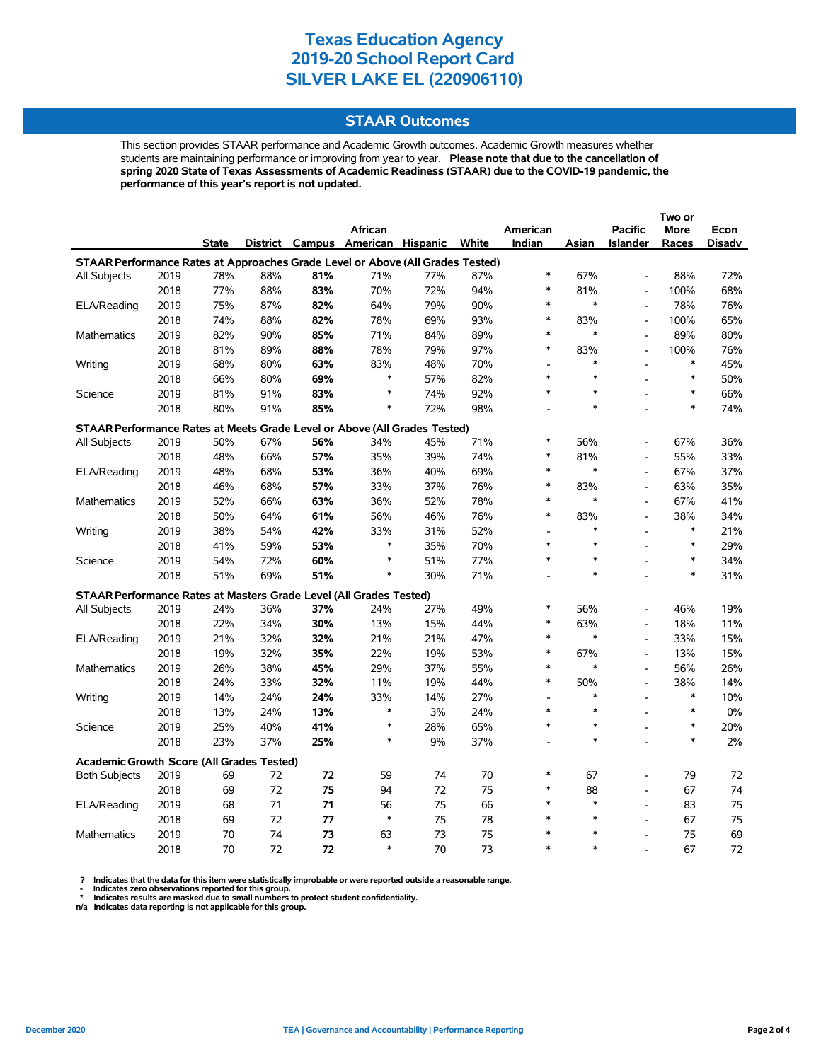#### **STAAR Outcomes**

This section provides STAAR performance and Academic Growth outcomes. Academic Growth measures whether students are maintaining performance or improving from year to year. **Please note that due to the cancellation of spring 2020 State of Texas Assessments of Academic Readiness (STAAR) due to the COVID-19 pandemic, the performance of this year's report is not updated.**

|                                                                                |              |              |            |            | African                           |            |       | American                 |        | <b>Pacific</b>                                 | More       | Econ   |
|--------------------------------------------------------------------------------|--------------|--------------|------------|------------|-----------------------------------|------------|-------|--------------------------|--------|------------------------------------------------|------------|--------|
|                                                                                |              | <b>State</b> |            |            | District Campus American Hispanic |            | White | Indian                   | Asian  | <b>Islander</b>                                | Races      | Disadv |
| STAAR Performance Rates at Approaches Grade Level or Above (All Grades Tested) |              |              |            |            |                                   |            |       |                          |        |                                                |            |        |
| All Subjects                                                                   | 2019         | 78%          | 88%        | 81%        | 71%                               | 77%        | 87%   | $\ast$                   | 67%    | $\overline{a}$                                 | 88%        | 72%    |
|                                                                                | 2018         | 77%          | 88%        | 83%        | 70%                               | 72%        | 94%   | $\ast$                   | 81%    | $\overline{a}$                                 | 100%       | 68%    |
| ELA/Reading                                                                    | 2019         | 75%          | 87%        | 82%        | 64%                               | 79%        | 90%   | $\ast$                   | $\ast$ | L,                                             | 78%        | 76%    |
|                                                                                | 2018         | 74%          | 88%        | 82%        | 78%                               | 69%        | 93%   | $\ast$                   | 83%    | $\overline{a}$                                 | 100%       | 65%    |
| <b>Mathematics</b>                                                             | 2019         | 82%          | 90%        | 85%        | 71%                               | 84%        | 89%   | $\ast$                   | $\ast$ | $\qquad \qquad \blacksquare$                   | 89%        | 80%    |
|                                                                                | 2018         | 81%          | 89%        | 88%        | 78%                               | 79%        | 97%   | $\ast$                   | 83%    | $\frac{1}{2}$                                  | 100%       | 76%    |
| Writing                                                                        | 2019         | 68%          | 80%        | 63%        | 83%                               | 48%        | 70%   |                          | *      | L,                                             | $\ast$     | 45%    |
|                                                                                | 2018         | 66%          | 80%        | 69%        | $\ast$                            | 57%        | 82%   | $\ast$                   | $\ast$ |                                                | $\ast$     | 50%    |
| Science                                                                        | 2019         | 81%          | 91%        | 83%        | $\ast$                            | 74%        | 92%   | $\ast$                   |        |                                                | $\ast$     | 66%    |
|                                                                                | 2018         | 80%          | 91%        | 85%        | $\ast$                            | 72%        | 98%   |                          | $\ast$ |                                                | $\ast$     | 74%    |
| STAAR Performance Rates at Meets Grade Level or Above (All Grades Tested)      |              |              |            |            |                                   |            |       |                          |        |                                                |            |        |
| All Subjects                                                                   | 2019         | 50%          | 67%        | 56%        | 34%                               | 45%        | 71%   | $\ast$                   | 56%    |                                                | 67%        | 36%    |
|                                                                                | 2018         | 48%          | 66%        | 57%        | 35%                               | 39%        | 74%   | $\ast$                   | 81%    | $\overline{a}$                                 | 55%        | 33%    |
| ELA/Reading                                                                    | 2019         | 48%          | 68%        | 53%        | 36%                               | 40%        | 69%   | $\ast$                   | $\ast$ | $\frac{1}{2}$                                  | 67%        | 37%    |
|                                                                                | 2018         | 46%          | 68%        | 57%        | 33%                               | 37%        | 76%   | $\ast$                   | 83%    | L,                                             | 63%        | 35%    |
| Mathematics                                                                    | 2019         | 52%          | 66%        | 63%        | 36%                               | 52%        | 78%   | $\ast$                   | $\ast$ | $\overline{a}$                                 | 67%        | 41%    |
|                                                                                | 2018         | 50%          | 64%        | 61%        | 56%                               | 46%        | 76%   | $\ast$                   | 83%    | L,                                             | 38%        | 34%    |
| Writing                                                                        | 2019         | 38%          | 54%        | 42%        | 33%                               | 31%        | 52%   |                          | $\ast$ | $\overline{\phantom{a}}$                       | $\ast$     | 21%    |
|                                                                                | 2018         | 41%          | 59%        | 53%        | $\ast$                            | 35%        | 70%   | $\ast$                   | $\ast$ |                                                | $\ast$     | 29%    |
| Science                                                                        | 2019         | 54%          | 72%        | 60%        | $\ast$                            | 51%        | 77%   | $\ast$                   | $\ast$ | $\overline{a}$                                 | $\ast$     | 34%    |
|                                                                                | 2018         | 51%          | 69%        | 51%        | $\ast$                            | 30%        | 71%   |                          | $\ast$ |                                                | $\ast$     | 31%    |
| STAAR Performance Rates at Masters Grade Level (All Grades Tested)             |              |              |            |            |                                   |            |       |                          |        |                                                |            |        |
|                                                                                |              | 24%          |            | 37%        |                                   | 27%        | 49%   | $\ast$                   | 56%    |                                                | 46%        | 19%    |
| All Subjects                                                                   | 2019<br>2018 | 22%          | 36%<br>34% | 30%        | 24%<br>13%                        |            | 44%   | $\ast$                   | 63%    | $\qquad \qquad \blacksquare$<br>$\overline{a}$ | 18%        | 11%    |
|                                                                                | 2019         | 21%          |            |            |                                   | 15%<br>21% | 47%   | $\ast$                   | *      | $\frac{1}{2}$                                  |            | 15%    |
| ELA/Reading                                                                    | 2018         | 19%          | 32%<br>32% | 32%<br>35% | 21%<br>22%                        | 19%        | 53%   | $\ast$                   | 67%    | $\frac{1}{2}$                                  | 33%<br>13% | 15%    |
| <b>Mathematics</b>                                                             | 2019         | 26%          | 38%        | 45%        | 29%                               | 37%        | 55%   | $\ast$                   | $\ast$ | $\overline{a}$                                 | 56%        | 26%    |
|                                                                                | 2018         | 24%          | 33%        | 32%        | 11%                               | 19%        | 44%   | $\ast$                   | 50%    | $\overline{a}$                                 | 38%        | 14%    |
| Writing                                                                        | 2019         | 14%          | 24%        | 24%        | 33%                               | 14%        | 27%   | $\overline{\phantom{a}}$ | $\ast$ | L,                                             | $\ast$     | 10%    |
|                                                                                | 2018         | 13%          | 24%        | 13%        | $\ast$                            | 3%         | 24%   | $\ast$                   | $\ast$ |                                                | $\ast$     | $0\%$  |
| Science                                                                        | 2019         | 25%          | 40%        | 41%        | $\ast$                            | 28%        | 65%   | $\ast$                   | $\ast$ | $\overline{\phantom{a}}$                       | $\ast$     | 20%    |
|                                                                                | 2018         | 23%          | 37%        | 25%        | $\ast$                            | 9%         | 37%   |                          | $\ast$ | $\overline{a}$                                 | $\ast$     | 2%     |
|                                                                                |              |              |            |            |                                   |            |       |                          |        |                                                |            |        |
| <b>Academic Growth Score (All Grades Tested)</b>                               |              |              |            |            |                                   |            |       |                          |        |                                                |            |        |
| <b>Both Subjects</b>                                                           | 2019         | 69           | 72         | 72         | 59                                | 74         | 70    | $\ast$                   | 67     |                                                | 79         | 72     |
|                                                                                | 2018         | 69           | 72         | 75         | 94                                | 72         | 75    | $\ast$                   | 88     | $\overline{a}$                                 | 67         | 74     |
| ELA/Reading                                                                    | 2019         | 68           | 71         | 71         | 56                                | 75         | 66    | $\ast$                   | $\ast$ | $\overline{a}$                                 | 83         | 75     |
|                                                                                | 2018         | 69           | 72         | 77         | $\ast$                            | 75         | 78    | $\ast$                   | $\ast$ | $\overline{a}$                                 | 67         | 75     |
| <b>Mathematics</b>                                                             | 2019         | 70           | 74         | 73         | 63                                | 73         | 75    | $\ast$                   | $\ast$ | L,                                             | 75         | 69     |
|                                                                                | 2018         | 70           | 72         | 72         | $\ast$                            | 70         | 73    | $\ast$                   | $\ast$ |                                                | 67         | 72     |

? Indicates that the data for this item were statistically improbable or were reported outside a reasonable range.<br>- Indicates zero observations reported for this group.<br>\* Indicates results are masked due to small numbers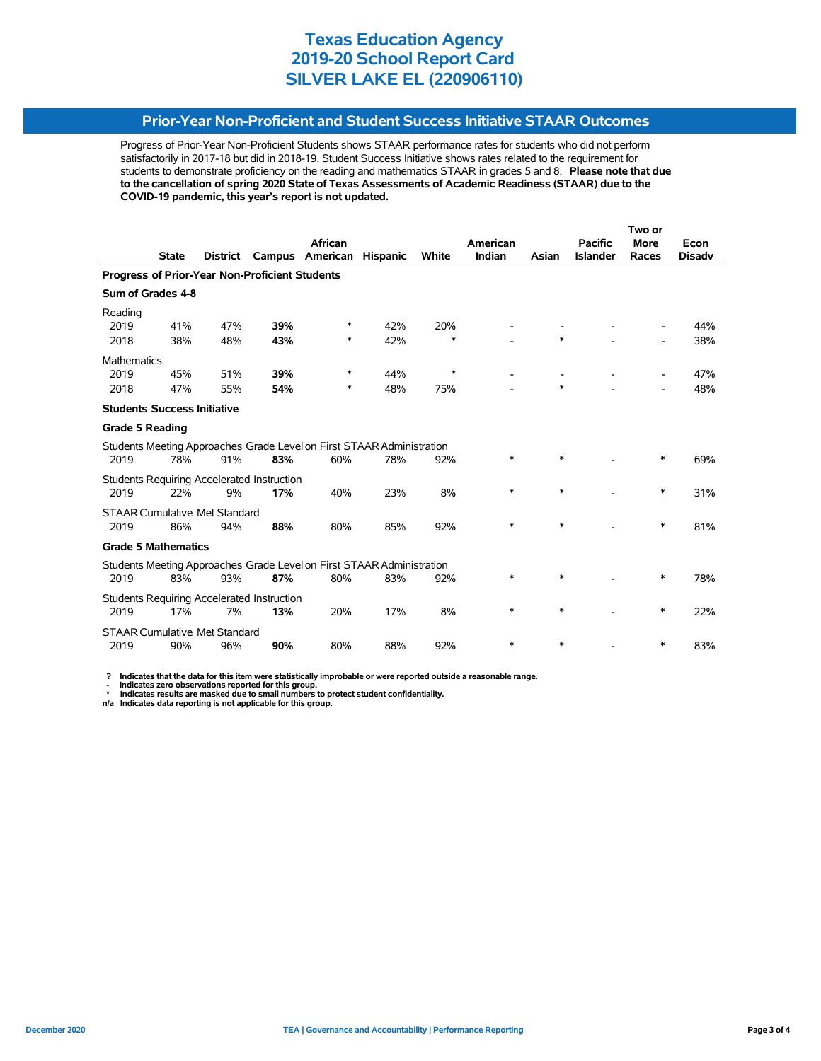### **Prior-Year Non-Proficient and Student Success Initiative STAAR Outcomes**

Progress of Prior-Year Non-Proficient Students shows STAAR performance rates for students who did not perform satisfactorily in 2017-18 but did in 2018-19. Student Success Initiative shows rates related to the requirement for students to demonstrate proficiency on the reading and mathematics STAAR in grades 5 and 8. **Please note that due to the cancellation of spring 2020 State of Texas Assessments of Academic Readiness (STAAR) due to the COVID-19 pandemic, this year's report is not updated.**

|                                                |              |                                      |                                                   |                                                                       |                 |              | Two or   |        |                 |             |               |
|------------------------------------------------|--------------|--------------------------------------|---------------------------------------------------|-----------------------------------------------------------------------|-----------------|--------------|----------|--------|-----------------|-------------|---------------|
|                                                |              |                                      |                                                   | African                                                               |                 |              | American |        | <b>Pacific</b>  | <b>More</b> | Econ          |
|                                                | <b>State</b> | <b>District</b>                      | Campus                                            | American                                                              | <b>Hispanic</b> | <b>White</b> | Indian   | Asian  | <b>Islander</b> | Races       | <b>Disadv</b> |
| Progress of Prior-Year Non-Proficient Students |              |                                      |                                                   |                                                                       |                 |              |          |        |                 |             |               |
| Sum of Grades 4-8                              |              |                                      |                                                   |                                                                       |                 |              |          |        |                 |             |               |
| Reading                                        |              |                                      |                                                   |                                                                       |                 |              |          |        |                 |             |               |
| 2019                                           | 41%          | 47%                                  | 39%                                               | *                                                                     | 42%             | 20%          |          |        |                 |             | 44%           |
| 2018                                           | 38%          | 48%                                  | 43%                                               | *                                                                     | 42%             | $\ast$       |          | $\ast$ |                 |             | 38%           |
| <b>Mathematics</b>                             |              |                                      |                                                   |                                                                       |                 |              |          |        |                 |             |               |
| 2019                                           | 45%          | 51%                                  | 39%                                               | *                                                                     | 44%             | $\ast$       |          |        |                 |             | 47%           |
| 2018                                           | 47%          | 55%                                  | 54%                                               | *                                                                     | 48%             | 75%          |          | $\ast$ |                 |             | 48%           |
| <b>Students Success Initiative</b>             |              |                                      |                                                   |                                                                       |                 |              |          |        |                 |             |               |
| <b>Grade 5 Reading</b>                         |              |                                      |                                                   |                                                                       |                 |              |          |        |                 |             |               |
|                                                |              |                                      |                                                   | Students Meeting Approaches Grade Level on First STAAR Administration |                 |              |          |        |                 |             |               |
| 2019                                           | 78%          | 91%                                  | 83%                                               | 60%                                                                   | 78%             | 92%          | *        | $\ast$ |                 | $\ast$      | 69%           |
|                                                |              |                                      | <b>Students Requiring Accelerated Instruction</b> |                                                                       |                 |              |          |        |                 |             |               |
| 2019                                           | 22%          | 9%                                   | 17%                                               | 40%                                                                   | 23%             | 8%           | $\ast$   | $\ast$ |                 | ∗           | 31%           |
|                                                |              | <b>STAAR Cumulative Met Standard</b> |                                                   |                                                                       |                 |              |          |        |                 |             |               |
| 2019                                           | 86%          | 94%                                  | 88%                                               | 80%                                                                   | 85%             | 92%          | $\ast$   | $\ast$ |                 | $\ast$      | 81%           |
| <b>Grade 5 Mathematics</b>                     |              |                                      |                                                   |                                                                       |                 |              |          |        |                 |             |               |
|                                                |              |                                      |                                                   | Students Meeting Approaches Grade Level on First STAAR Administration |                 |              |          |        |                 |             |               |
| 2019                                           | 83%          | 93%                                  | 87%                                               | 80%                                                                   | 83%             | 92%          | *        | *      |                 | ∗           | 78%           |
|                                                |              |                                      | <b>Students Requiring Accelerated Instruction</b> |                                                                       |                 |              |          |        |                 |             |               |
| 2019                                           | 17%          | 7%                                   | 13%                                               | 20%                                                                   | 17%             | 8%           | *        | $\ast$ |                 | ∗           | 22%           |
| <b>STAAR Cumulative Met Standard</b>           |              |                                      |                                                   |                                                                       |                 |              |          |        |                 |             |               |
| 2019                                           | 90%          | 96%                                  | 90%                                               | 80%                                                                   | 88%             | 92%          | $\ast$   | $\ast$ |                 | ∗           | 83%           |

 **? Indicates that the data for this item were statistically improbable or were reported outside a reasonable range.**

 **- Indicates zero observations reported for this group. \* Indicates results are masked due to small numbers to protect student confidentiality.**

**n/a Indicates data reporting is not applicable for this group.**